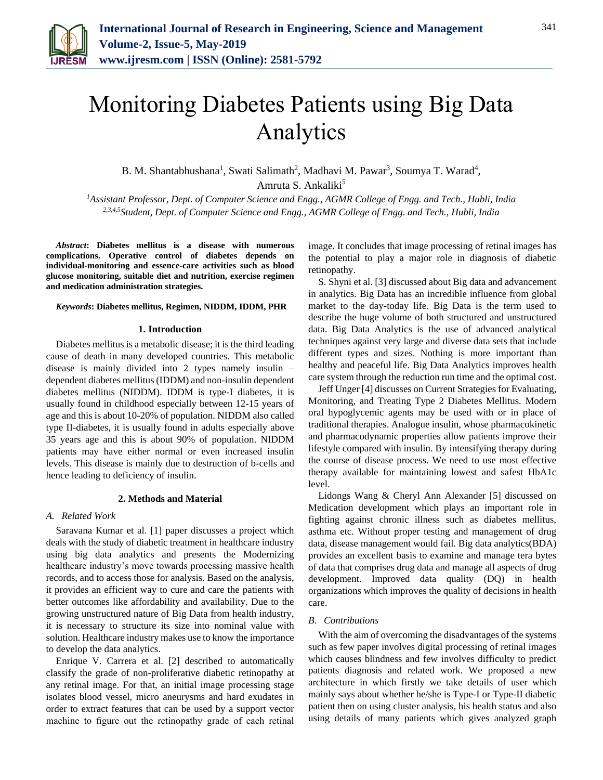

# Monitoring Diabetes Patients using Big Data Analytics

B. M. Shantabhushana<sup>1</sup>, Swati Salimath<sup>2</sup>, Madhavi M. Pawar<sup>3</sup>, Soumya T. Warad<sup>4</sup>, Amruta S. Ankaliki<sup>5</sup>

*<sup>1</sup>Assistant Professor, Dept. of Computer Science and Engg., AGMR College of Engg. and Tech., Hubli, India 2,3,4,5Student, Dept. of Computer Science and Engg., AGMR College of Engg. and Tech., Hubli, India*

*Abstract***: Diabetes mellitus is a disease with numerous complications. Operative control of diabetes depends on individual-monitoring and essence-care activities such as blood glucose monitoring, suitable diet and nutrition, exercise regimen and medication administration strategies.**

## *Keywords***: Diabetes mellitus, Regimen, NIDDM, IDDM, PHR**

## **1. Introduction**

Diabetes mellitus is a metabolic disease; it is the third leading cause of death in many developed countries. This metabolic disease is mainly divided into 2 types namely insulin – dependent diabetes mellitus (IDDM) and non-insulin dependent diabetes mellitus (NIDDM). IDDM is type-I diabetes, it is usually found in childhood especially between 12-15 years of age and this is about 10-20% of population. NIDDM also called type II-diabetes, it is usually found in adults especially above 35 years age and this is about 90% of population. NIDDM patients may have either normal or even increased insulin levels. This disease is mainly due to destruction of b-cells and hence leading to deficiency of insulin.

## **2. Methods and Material**

### *A. Related Work*

Saravana Kumar et al. [1] paper discusses a project which deals with the study of diabetic treatment in healthcare industry using big data analytics and presents the Modernizing healthcare industry's move towards processing massive health records, and to access those for analysis. Based on the analysis, it provides an efficient way to cure and care the patients with better outcomes like affordability and availability. Due to the growing unstructured nature of Big Data from health industry, it is necessary to structure its size into nominal value with solution. Healthcare industry makes use to know the importance to develop the data analytics.

Enrique V. Carrera et al. [2] described to automatically classify the grade of non-proliferative diabetic retinopathy at any retinal image. For that, an initial image processing stage isolates blood vessel, micro aneurysms and hard exudates in order to extract features that can be used by a support vector machine to figure out the retinopathy grade of each retinal

image. It concludes that image processing of retinal images has the potential to play a major role in diagnosis of diabetic retinopathy.

S. Shyni et al. [3] discussed about Big data and advancement in analytics. Big Data has an incredible influence from global market to the day-today life. Big Data is the term used to describe the huge volume of both structured and unstructured data. Big Data Analytics is the use of advanced analytical techniques against very large and diverse data sets that include different types and sizes. Nothing is more important than healthy and peaceful life. Big Data Analytics improves health care system through the reduction run time and the optimal cost.

Jeff Unger [4] discusses on Current Strategies for Evaluating, Monitoring, and Treating Type 2 Diabetes Mellitus. Modern oral hypoglycemic agents may be used with or in place of traditional therapies. Analogue insulin, whose pharmacokinetic and pharmacodynamic properties allow patients improve their lifestyle compared with insulin. By intensifying therapy during the course of disease process. We need to use most effective therapy available for maintaining lowest and safest HbA1c level.

Lidongs Wang & Cheryl Ann Alexander [5] discussed on Medication development which plays an important role in fighting against chronic illness such as diabetes mellitus, asthma etc. Without proper testing and management of drug data, disease management would fail. Big data analytics(BDA) provides an excellent basis to examine and manage tera bytes of data that comprises drug data and manage all aspects of drug development. Improved data quality (DQ) in health organizations which improves the quality of decisions in health care.

## *B. Contributions*

With the aim of overcoming the disadvantages of the systems such as few paper involves digital processing of retinal images which causes blindness and few involves difficulty to predict patients diagnosis and related work. We proposed a new architecture in which firstly we take details of user which mainly says about whether he/she is Type-I or Type-II diabetic patient then on using cluster analysis, his health status and also using details of many patients which gives analyzed graph